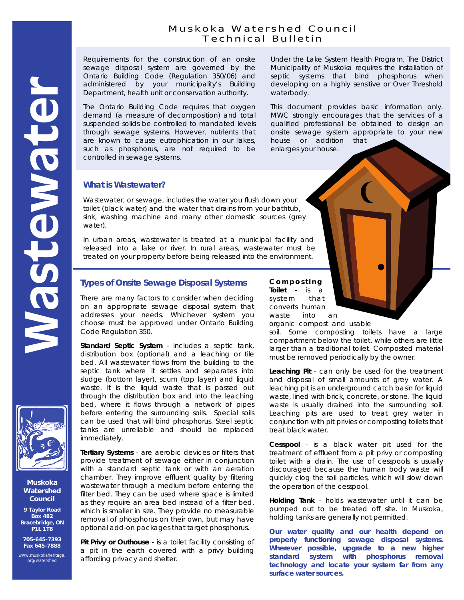# Muskoka Watershed Council Technical Bulletin

Requirements for the construction of an onsite sewage disposal system are governed by the Ontario Building Code (Regulation 350/06) and administered by your municipality's Building Department, health unit or conservation authority.

The Ontario Building Code requires that oxygen demand (a measure of decomposition) and total suspended solids be controlled to mandated levels through sewage systems. However, nutrients that are known to cause eutrophication in our lakes, such as phosphorus, are not required to be controlled in sewage systems.

Under the Lake System Health Program, The District Municipality of Muskoka requires the installation of septic systems that bind phosphorus when developing on a highly sensitive or Over Threshold waterbody.

This document provides basic information only. MWC strongly encourages that the services of a qualified professional be obtained to design an onsite sewage system appropriate to your new house or addition that enlarges your house.

## **What is Wastewater?**

Wastewater, or sewage, includes the water you flush down your toilet (black water) and the water that drains from your bathtub, sink, washing machine and many other domestic sources (grey water).

In urban areas, wastewater is treated at a municipal facility and released into a lake or river. In rural areas, wastewater must be treated on your property before being released into the environment.

# **Types of Onsite Sewage Disposal Systems**

There are many factors to consider when deciding on an appropriate sewage disposal system that addresses your needs. Whichever system you choose must be approved under Ontario Building Code Regulation 350.

**Standard Septic System** - includes a septic tank, distribution box (optional) and a leaching or tile bed. All wastewater flows from the building to the septic tank where it settles and separates into sludge (bottom layer), scum (top layer) and liquid waste. It is the liquid waste that is passed out through the distribution box and into the leaching bed, where it flows through a network of pipes before entering the surrounding soils. Special soils can be used that will bind phosphorus. Steel septic tanks are unreliable and should be replaced immediately.

**Tertiary Systems** - are aerobic devices or filters that provide treatment of sewage either in conjunction with a standard septic tank or with an aeration chamber. They improve effluent quality by filtering wastewater through a medium before entering the filter bed. They can be used where space is limited as they require an area bed instead of a filter bed, which is smaller in size. They provide no measurable removal of phosphorus on their own, but may have optional add-on packages that target phosphorus.

**Pit Privy or Outhouse** - is a toilet facility consisting of a pit in the earth covered with a privy building affording privacy and shelter.

**C o m p o s t i n g** 

**Toilet** - is a system that converts human waste into an organic compost and usable

soil. Some composting toilets have a large compartment below the toilet, while others are little larger than a traditional toilet. Composted material must be removed periodically by the owner.

**Leaching Pit** - can only be used for the treatment and disposal of small amounts of grey water. A leaching pit is an underground catch basin for liquid waste, lined with brick, concrete, or stone. The liquid waste is usually drained into the surrounding soil. Leaching pits are used to treat grey water in conjunction with pit privies or composting toilets that treat black water.

**Cesspool** - is a black water pit used for the treatment of effluent from a pit privy or composting toilet with a drain. The use of cesspools is usually discouraged because the human body waste will quickly clog the soil particles, which will slow down the operation of the cesspool.

**Holding Tank** - holds wastewater until it can be pumped out to be treated off site. In Muskoka, holding tanks are generally not permitted.

**Our water quality and our health depend on properly functioning sewage disposal systems. Wherever possible, upgrade to a new higher standard system with phosphorus removal technology and locate your system far from any surface water sources.** 



**Muskoka Watershed Council** 

**9 Taylor Road Box 482 Bracebridge, ON P1L 1T8** 

**705-645-7393 Fax 645-7888** 

[www.muskokaheritage.](http://www.muskokaheritage.org/watershed/index.asp) org/watershed